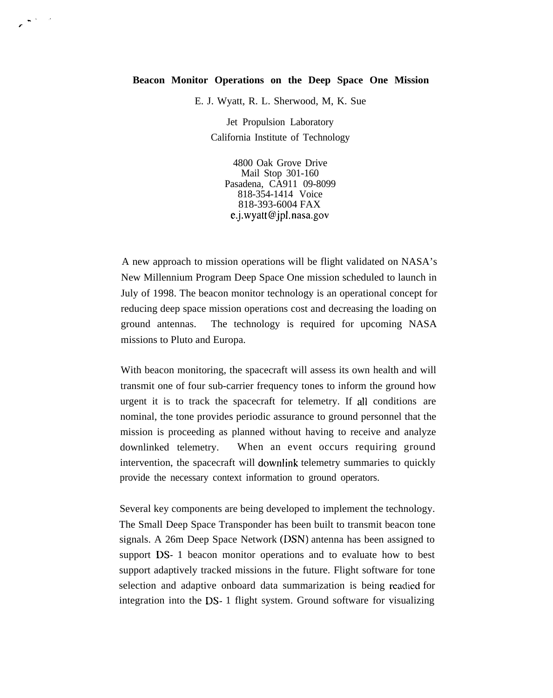## **Beacon Monitor Operations on the Deep Space One Mission**

E. J. Wyatt, R. L. Sherwood, M, K. Sue

Jet Propulsion Laboratory California Institute of Technology

4800 Oak Grove Drive Mail Stop 301-160 Pasadena, CA911 09-8099 818-354-1414 Voice 818-393-6004 FAX e.j.wyatt@jpl. nasa,gov

A new approach to mission operations will be flight validated on NASA's New Millennium Program Deep Space One mission scheduled to launch in July of 1998. The beacon monitor technology is an operational concept for reducing deep space mission operations cost and decreasing the loading on ground antennas. The technology is required for upcoming NASA missions to Pluto and Europa.

With beacon monitoring, the spacecraft will assess its own health and will transmit one of four sub-carrier frequency tones to inform the ground how urgent it is to track the spacecraft for telemetry. If all conditions are nominal, the tone provides periodic assurance to ground personnel that the mission is proceeding as planned without having to receive and analyze downlinked telemetry. When an event occurs requiring ground intervention, the spacecraft will downlink telemetry summaries to quickly provide the necessary context information to ground operators.

Several key components are being developed to implement the technology. The Small Deep Space Transponder has been built to transmit beacon tone signals. A 26m Deep Space Network (DSN) antenna has been assigned to support DS- 1 beacon monitor operations and to evaluate how to best support adaptively tracked missions in the future. Flight software for tone selection and adaptive onboard data summarization is being reaclied for integration into the DS- 1 flight system. Ground software for visualizing